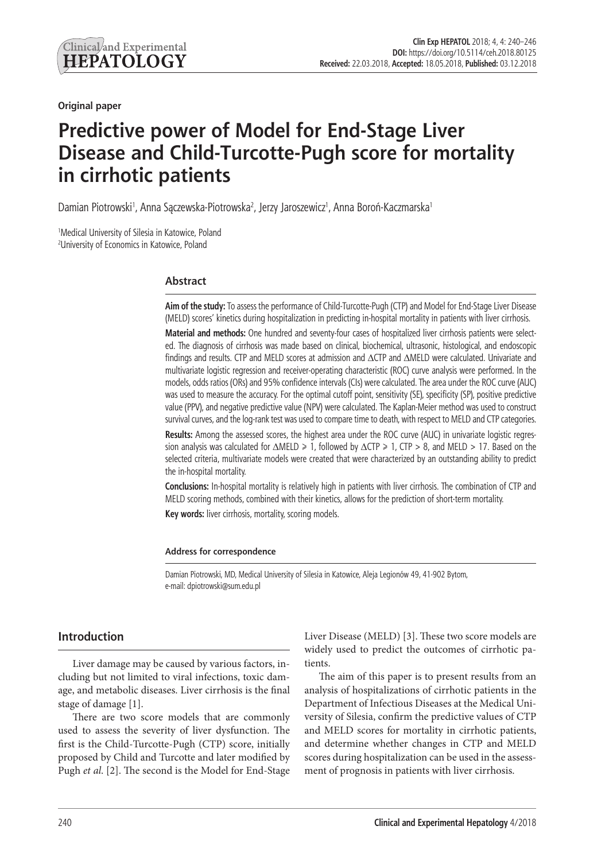**Original paper**

# **Predictive power of Model for End-Stage Liver Disease and Child-Turcotte-Pugh score for mortality in cirrhotic patients**

Damian Piotrowski<sup>1</sup>, Anna Sączewska-Piotrowska<sup>2</sup>, Jerzy Jaroszewicz<sup>1</sup>, Anna Boroń-Kaczmarska<sup>1</sup>

<sup>1</sup>Medical University of Silesia in Katowice, Poland 2 University of Economics in Katowice, Poland

# **Abstract**

**Aim of the study:** To assess the performance of Child-Turcotte-Pugh (CTP) and Model for End-Stage Liver Disease (MELD) scores' kinetics during hospitalization in predicting in-hospital mortality in patients with liver cirrhosis.

**Material and methods:** One hundred and seventy-four cases of hospitalized liver cirrhosis patients were selected. The diagnosis of cirrhosis was made based on clinical, biochemical, ultrasonic, histological, and endoscopic findings and results. CTP and MELD scores at admission and ΔCTP and ΔMELD were calculated. Univariate and multivariate logistic regression and receiver-operating characteristic (ROC) curve analysis were performed. In the models, odds ratios (ORs) and 95% confidence intervals (CIs) were calculated. The area under the ROC curve (AUC) was used to measure the accuracy. For the optimal cutoff point, sensitivity (SE), specificity (SP), positive predictive value (PPV), and negative predictive value (NPV) were calculated. The Kaplan-Meier method was used to construct survival curves, and the log-rank test was used to compare time to death, with respect to MELD and CTP categories. **Results:** Among the assessed scores, the highest area under the ROC curve (AUC) in univariate logistic regres-

sion analysis was calculated for  $\triangle MELD \ge 1$ , followed by  $\triangle CTP \ge 1$ , CTP > 8, and MELD > 17. Based on the selected criteria, multivariate models were created that were characterized by an outstanding ability to predict the in-hospital mortality.

**Conclusions:** In-hospital mortality is relatively high in patients with liver cirrhosis. The combination of CTP and MELD scoring methods, combined with their kinetics, allows for the prediction of short-term mortality.

**Key words:** liver cirrhosis, mortality, scoring models.

#### **Address for correspondence**

Damian Piotrowski, MD, Medical University of Silesia in Katowice, Aleja Legionów 49, 41-902 Bytom, e-mail: dpiotrowski@sum.edu.pl

# **Introduction**

Liver damage may be caused by various factors, including but not limited to viral infections, toxic damage, and metabolic diseases. Liver cirrhosis is the final stage of damage [1].

There are two score models that are commonly used to assess the severity of liver dysfunction. The first is the Child-Turcotte-Pugh (CTP) score, initially proposed by Child and Turcotte and later modified by Pugh *et al*. [2]. The second is the Model for End-Stage

Liver Disease (MELD) [3]. These two score models are widely used to predict the outcomes of cirrhotic patients.

The aim of this paper is to present results from an analysis of hospitalizations of cirrhotic patients in the Department of Infectious Diseases at the Medical University of Silesia, confirm the predictive values of CTP and MELD scores for mortality in cirrhotic patients, and determine whether changes in CTP and MELD scores during hospitalization can be used in the assessment of prognosis in patients with liver cirrhosis.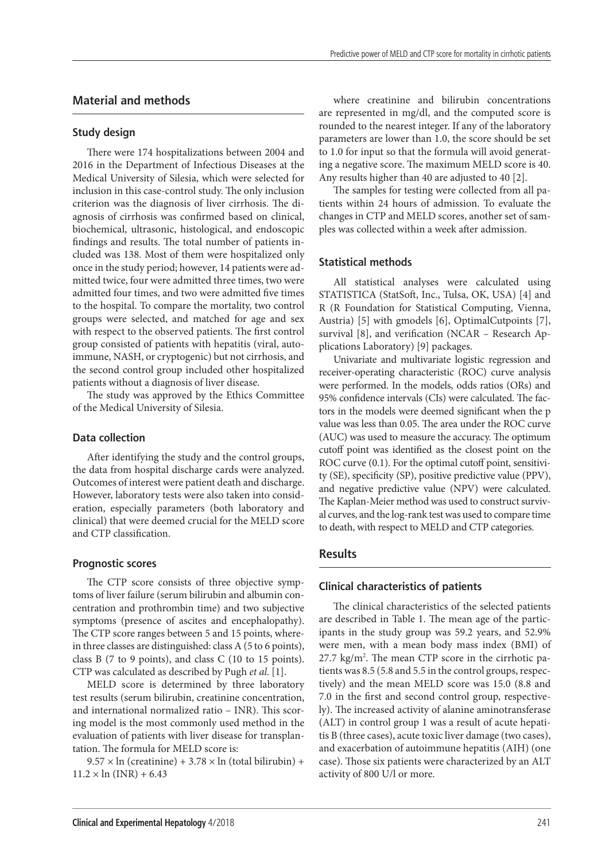## **Material and methods**

#### **Study design**

There were 174 hospitalizations between 2004 and 2016 in the Department of Infectious Diseases at the Medical University of Silesia, which were selected for inclusion in this case-control study. The only inclusion criterion was the diagnosis of liver cirrhosis. The diagnosis of cirrhosis was confirmed based on clinical, biochemical, ultrasonic, histological, and endoscopic findings and results. The total number of patients included was 138. Most of them were hospitalized only once in the study period; however, 14 patients were admitted twice, four were admitted three times, two were admitted four times, and two were admitted five times to the hospital. To compare the mortality, two control groups were selected, and matched for age and sex with respect to the observed patients. The first control group consisted of patients with hepatitis (viral, autoimmune, NASH, or cryptogenic) but not cirrhosis, and the second control group included other hospitalized patients without a diagnosis of liver disease.

The study was approved by the Ethics Committee of the Medical University of Silesia.

## **Data collection**

After identifying the study and the control groups, the data from hospital discharge cards were analyzed. Outcomes of interest were patient death and discharge. However, laboratory tests were also taken into consideration, especially parameters (both laboratory and clinical) that were deemed crucial for the MELD score and CTP classification.

#### **Prognostic scores**

The CTP score consists of three objective symptoms of liver failure (serum bilirubin and albumin concentration and prothrombin time) and two subjective symptoms (presence of ascites and encephalopathy). The CTP score ranges between 5 and 15 points, wherein three classes are distinguished: class A (5 to 6 points), class B (7 to 9 points), and class C (10 to 15 points). CTP was calculated as described by Pugh *et al*. [1].

MELD score is determined by three laboratory test results (serum bilirubin, creatinine concentration, and international normalized ratio – INR). This scoring model is the most commonly used method in the evaluation of patients with liver disease for transplantation. The formula for MELD score is:

 $9.57 \times \ln$  (creatinine) + 3.78  $\times \ln$  (total bilirubin) +  $11.2 \times \ln(\text{INR}) + 6.43$ 

where creatinine and bilirubin concentrations are represented in mg/dl, and the computed score is rounded to the nearest integer. If any of the laboratory parameters are lower than 1.0, the score should be set to 1.0 for input so that the formula will avoid generating a negative score. The maximum MELD score is 40. Any results higher than 40 are adjusted to 40 [2].

The samples for testing were collected from all patients within 24 hours of admission. To evaluate the changes in CTP and MELD scores, another set of samples was collected within a week after admission.

## **Statistical methods**

All statistical analyses were calculated using STATISTICA (StatSoft, Inc., Tulsa, OK, USA) [4] and R (R Foundation for Statistical Computing, Vienna, Austria) [5] with gmodels [6], OptimalCutpoints [7], survival [8], and verification (NCAR – Research Applications Laboratory) [9] packages.

Univariate and multivariate logistic regression and receiver-operating characteristic (ROC) curve analysis were performed. In the models, odds ratios (ORs) and 95% confidence intervals (CIs) were calculated. The factors in the models were deemed significant when the p value was less than 0.05. The area under the ROC curve (AUC) was used to measure the accuracy. The optimum cutoff point was identified as the closest point on the ROC curve  $(0.1)$ . For the optimal cutoff point, sensitivity (SE), specificity (SP), positive predictive value (PPV), and negative predictive value (NPV) were calculated. The Kaplan-Meier method was used to construct survival curves, and the log-rank test was used to compare time to death, with respect to MELD and CTP categories.

# **Results**

## **Clinical characteristics of patients**

The clinical characteristics of the selected patients are described in Table 1. The mean age of the participants in the study group was 59.2 years, and 52.9% were men, with a mean body mass index (BMI) of 27.7 kg/m<sup>2</sup>. The mean CTP score in the cirrhotic patients was 8.5 (5.8 and 5.5 in the control groups, respectively) and the mean MELD score was 15.0 (8.8 and 7.0 in the first and second control group, respectively). The increased activity of alanine aminotransferase (ALT) in control group 1 was a result of acute hepatitis B (three cases), acute toxic liver damage (two cases), and exacerbation of autoimmune hepatitis (AIH) (one case). Those six patients were characterized by an ALT activity of 800 U/l or more.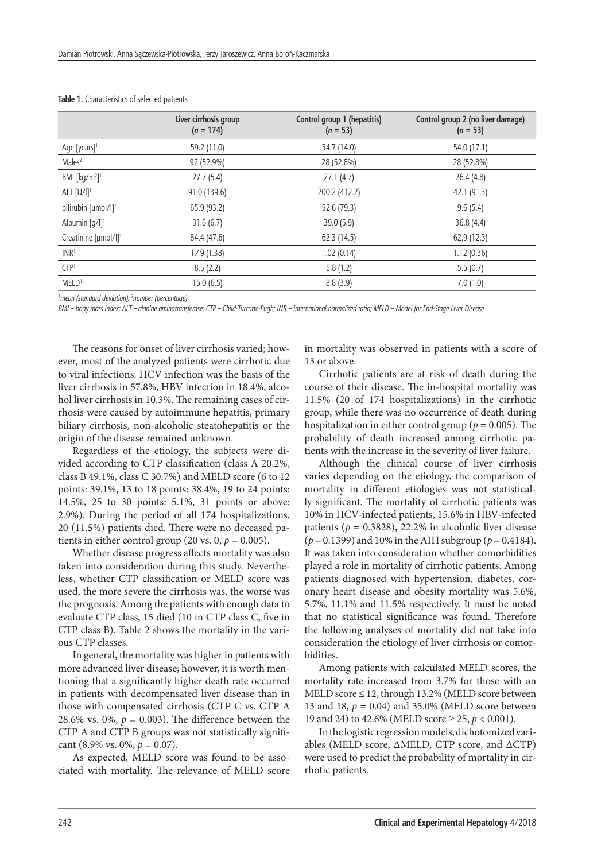|                                         | Liver cirrhosis group<br>$(n = 174)$ | Control group 1 (hepatitis)<br>$(n = 53)$ | Control group 2 (no liver damage)<br>$(n = 53)$ |
|-----------------------------------------|--------------------------------------|-------------------------------------------|-------------------------------------------------|
| Age [years] <sup>1</sup>                | 59.2 (11.0)                          | 54.7 (14.0)                               | 54.0 (17.1)                                     |
| Males <sup>2</sup>                      | 92 (52.9%)                           | 28 (52.8%)                                | 28 (52.8%)                                      |
| BMI [ $kg/m2$ ] <sup>1</sup>            | 27.7(5.4)                            | 27.1(4.7)                                 | 26.4(4.8)                                       |
| ALT $[U/1]$ <sup>1</sup>                | 91.0 (139.6)                         | 200.2 (412.2)                             | 42.1 (91.3)                                     |
| bilirubin [µmol/l] <sup>1</sup>         | 65.9 (93.2)                          | 52.6 (79.3)                               | 9.6(5.4)                                        |
| Albumin $\lceil q/ \rceil$ <sup>1</sup> | 31.6(6.7)                            | 39.0 (5.9)                                | 36.8(4.4)                                       |
| Creatinine [µmol/l] <sup>1</sup>        | 84.4 (47.6)                          | 62.3 (14.5)                               | 62.9 (12.3)                                     |
| INR <sup>1</sup>                        | 1.49 (1.38)                          | 1.02(0.14)                                | 1.12(0.36)                                      |
| CTP <sup>1</sup>                        | 8.5(2.2)                             | 5.8(1.2)                                  | 5.5(0.7)                                        |
| MELD <sup>1</sup>                       | 15.0(6.5)                            | 8.8(3.9)                                  | 7.0(1.0)                                        |

**Table 1.** Characteristics of selected patients

*1 mean (standard deviation), 2 number (percentage)*

*BMI – body mass index; ALT – alanine aminotransferase; CTP – Child-Turcotte-Pugh; INR – international normalized ratio; MELD – Model for End-Stage Liver Disease*

The reasons for onset of liver cirrhosis varied; however, most of the analyzed patients were cirrhotic due to viral infections: HCV infection was the basis of the liver cirrhosis in 57.8%, HBV infection in 18.4%, alcohol liver cirrhosis in 10.3%. The remaining cases of cirrhosis were caused by autoimmune hepatitis, primary biliary cirrhosis, non-alcoholic steatohepatitis or the origin of the disease remained unknown.

Regardless of the etiology, the subjects were divided according to CTP classification (class A 20.2%, class B 49.1%, class C 30.7%) and MELD score (6 to 12 points: 39.1%, 13 to 18 points: 38.4%, 19 to 24 points: 14.5%, 25 to 30 points: 5.1%, 31 points or above: 2.9%). During the period of all 174 hospitalizations, 20 (11.5%) patients died. There were no deceased patients in either control group (20 vs.  $0, p = 0.005$ ).

Whether disease progress affects mortality was also taken into consideration during this study. Nevertheless, whether CTP classification or MELD score was used, the more severe the cirrhosis was, the worse was the prognosis. Among the patients with enough data to evaluate CTP class, 15 died (10 in CTP class C, five in CTP class B). Table 2 shows the mortality in the various CTP classes.

In general, the mortality was higher in patients with more advanced liver disease; however, it is worth mentioning that a significantly higher death rate occurred in patients with decompensated liver disease than in those with compensated cirrhosis (CTP C vs. CTP A 28.6% vs. 0%,  $p = 0.003$ ). The difference between the CTP A and CTP B groups was not statistically significant (8.9% vs. 0%,  $p = 0.07$ ).

As expected, MELD score was found to be associated with mortality. The relevance of MELD score in mortality was observed in patients with a score of 13 or above.

Cirrhotic patients are at risk of death during the course of their disease. The in-hospital mortality was 11.5% (20 of 174 hospitalizations) in the cirrhotic group, while there was no occurrence of death during hospitalization in either control group (*p* = 0.005). The probability of death increased among cirrhotic patients with the increase in the severity of liver failure.

Although the clinical course of liver cirrhosis varies depending on the etiology, the comparison of mortality in different etiologies was not statistically significant. The mortality of cirrhotic patients was 10% in HCV-infected patients, 15.6% in HBV-infected patients  $(p = 0.3828)$ , 22.2% in alcoholic liver disease  $(p = 0.1399)$  and 10% in the AIH subgroup ( $p = 0.4184$ ). It was taken into consideration whether comorbidities played a role in mortality of cirrhotic patients. Among patients diagnosed with hypertension, diabetes, coronary heart disease and obesity mortality was 5.6%, 5.7%, 11.1% and 11.5% respectively. It must be noted that no statistical significance was found. Therefore the following analyses of mortality did not take into consideration the etiology of liver cirrhosis or comorbidities.

Among patients with calculated MELD scores, the mortality rate increased from 3.7% for those with an  $MELD score \le 12$ , through 13.2% (MELD score between 13 and 18, *p* = 0.04) and 35.0% (MELD score between 19 and 24) to 42.6% (MELD score ≥ 25, *p* < 0.001).

In the logistic regression models, dichotomized variables (MELD score, ΔMELD, CTP score, and ΔCTP) were used to predict the probability of mortality in cirrhotic patients.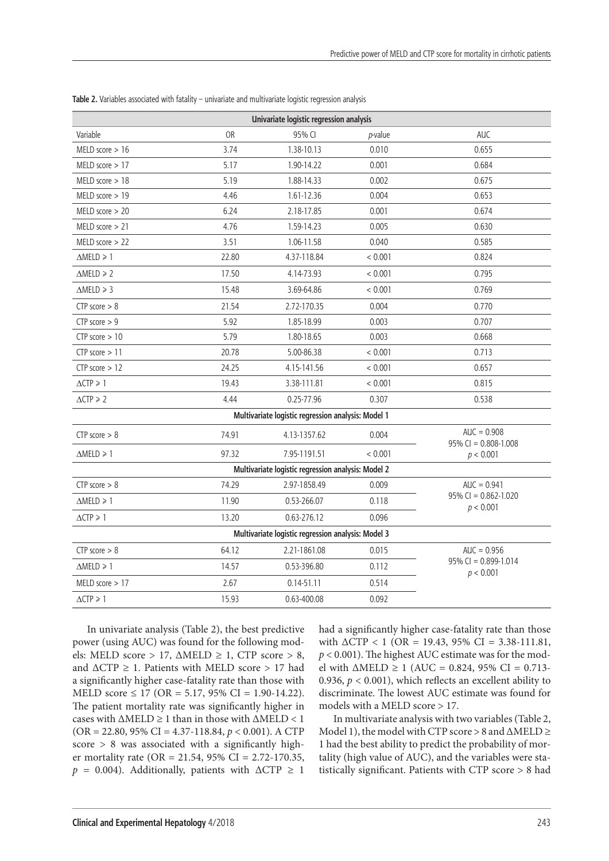| Univariate logistic regression analysis            |           |                                                    |            |                                          |  |  |  |  |  |
|----------------------------------------------------|-----------|----------------------------------------------------|------------|------------------------------------------|--|--|--|--|--|
| Variable                                           | <b>OR</b> | 95% CI                                             | $p$ -value | <b>AUC</b>                               |  |  |  |  |  |
| MELD score $> 16$                                  | 3.74      | 1.38-10.13                                         | 0.010      | 0.655                                    |  |  |  |  |  |
| MELD score $>17$                                   | 5.17      | 1.90-14.22                                         | 0.001      | 0.684                                    |  |  |  |  |  |
| MELD score $> 18$                                  | 5.19      | 1.88-14.33                                         | 0.002      | 0.675                                    |  |  |  |  |  |
| MELD score > 19                                    | 4.46      | 1.61-12.36                                         | 0.004      | 0.653                                    |  |  |  |  |  |
| MELD score $> 20$                                  | 6.24      | 2.18-17.85                                         | 0.001      | 0.674                                    |  |  |  |  |  |
| MELD score $> 21$                                  | 4.76      | 1.59-14.23                                         | 0.005      | 0.630                                    |  |  |  |  |  |
| MELD score $> 22$                                  | 3.51      | 1.06-11.58                                         | 0.040      | 0.585                                    |  |  |  |  |  |
| $\triangle \text{MELD} \geq 1$                     | 22.80     | 4.37-118.84                                        | < 0.001    | 0.824                                    |  |  |  |  |  |
| $\triangle \text{MELD} \geq 2$                     | 17.50     | 4.14-73.93                                         | < 0.001    | 0.795                                    |  |  |  |  |  |
| $\triangle \text{MELD} \geq 3$                     | 15.48     | 3.69-64.86                                         | < 0.001    | 0.769                                    |  |  |  |  |  |
| CTP score $> 8$                                    | 21.54     | 2.72-170.35                                        | 0.004      | 0.770                                    |  |  |  |  |  |
| CTP score $> 9$                                    | 5.92      | 1.85-18.99                                         | 0.003      | 0.707                                    |  |  |  |  |  |
| $CTP$ score $> 10$                                 | 5.79      | 1.80-18.65                                         | 0.003      | 0.668                                    |  |  |  |  |  |
| $CTP$ score $> 11$                                 | 20.78     | 5.00-86.38                                         | < 0.001    | 0.713                                    |  |  |  |  |  |
| $CTP$ score $> 12$                                 | 24.25     | 4.15-141.56                                        | < 0.001    | 0.657                                    |  |  |  |  |  |
| $\triangle CTP \geq 1$                             | 19.43     | 3.38-111.81                                        | < 0.001    | 0.815                                    |  |  |  |  |  |
| $\triangle CTP \ge 2$                              | 4.44      | 0.25-77.96                                         | 0.307      | 0.538                                    |  |  |  |  |  |
|                                                    |           | Multivariate logistic regression analysis: Model 1 |            |                                          |  |  |  |  |  |
| $CTP$ score $> 8$                                  | 74.91     | 4.13-1357.62                                       | 0.004      | $AUC = 0.908$<br>$95\%$ CI = 0.808-1.008 |  |  |  |  |  |
| $\triangle \text{MELD} \geq 1$                     | 97.32     | 7.95-1191.51                                       | < 0.001    | p < 0.001                                |  |  |  |  |  |
| Multivariate logistic regression analysis: Model 2 |           |                                                    |            |                                          |  |  |  |  |  |
| CTP score $> 8$                                    | 74.29     | 2.97-1858.49                                       | 0.009      | $AUC = 0.941$                            |  |  |  |  |  |
| $\triangle \text{MELD} \geq 1$                     | 11.90     | 0.53-266.07                                        | 0.118      | $95\%$ CI = 0.862-1.020<br>p < 0.001     |  |  |  |  |  |
| $\triangle CTP \geq 1$                             | 13.20     | 0.63-276.12                                        | 0.096      |                                          |  |  |  |  |  |
| Multivariate logistic regression analysis: Model 3 |           |                                                    |            |                                          |  |  |  |  |  |
| $CTP$ score $> 8$                                  | 64.12     | 2.21-1861.08                                       | 0.015      | $AUC = 0.956$                            |  |  |  |  |  |
| $\triangle \text{MELD} \geq 1$                     | 14.57     | 0.53-396.80                                        | 0.112      | $95\%$ CI = 0.899-1.014<br>p < 0.001     |  |  |  |  |  |
| MELD score $> 17$                                  | 2.67      | $0.14 - 51.11$                                     | 0.514      |                                          |  |  |  |  |  |
| $\triangle CTP \geq 1$                             | 15.93     | 0.63-400.08                                        | 0.092      |                                          |  |  |  |  |  |

**Table 2.** Variables associated with fatality – univariate and multivariate logistic regression analysis

In univariate analysis (Table 2), the best predictive power (using AUC) was found for the following models: MELD score > 17,  $\triangle MELD \ge 1$ , CTP score > 8, and ∆CTP ≥ 1. Patients with MELD score > 17 had a significantly higher case-fatality rate than those with MELD score  $\leq 17$  (OR = 5.17, 95% CI = 1.90-14.22). The patient mortality rate was significantly higher in cases with  $\triangle \text{MELD} \geq 1$  than in those with  $\triangle \text{MELD} < 1$ (OR = 22.80, 95% CI = 4.37-118.84, *p* < 0.001). A CTP score  $> 8$  was associated with a significantly higher mortality rate (OR = 21.54, 95% CI = 2.72-170.35,  $p = 0.004$ ). Additionally, patients with  $\Delta CTP \geq 1$ 

had a significantly higher case-fatality rate than those with  $\triangle$ CTP < 1 (OR = 19.43, 95% CI = 3.38-111.81, *p* < 0.001). The highest AUC estimate was for the model with ∆MELD ≥ 1 (AUC = 0.824, 95% CI = 0.713-0.936,  $p < 0.001$ ), which reflects an excellent ability to discriminate. The lowest AUC estimate was found for models with a MELD score > 17.

In multivariate analysis with two variables (Table 2, Model 1), the model with CTP score > 8 and ∆MELD ≥ 1 had the best ability to predict the probability of mortality (high value of AUC), and the variables were statistically significant. Patients with CTP score > 8 had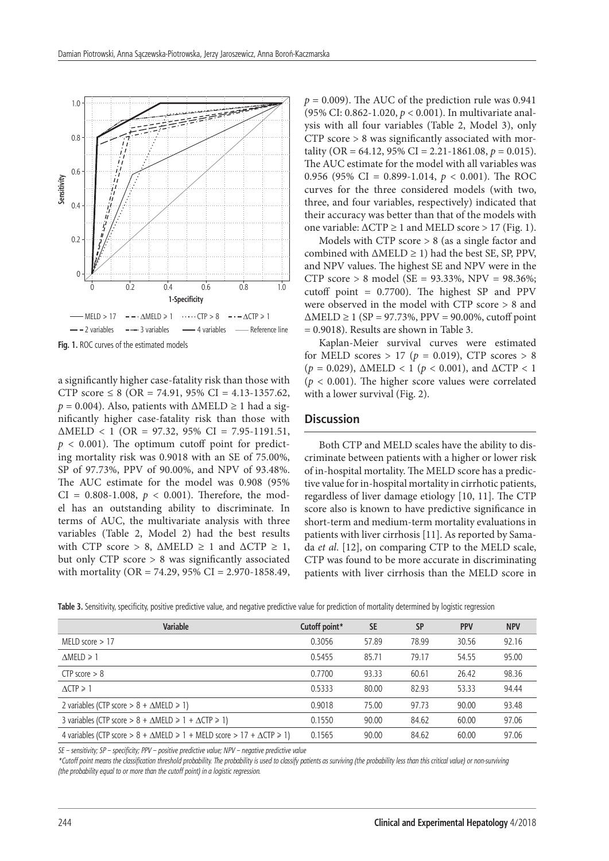

a significantly higher case-fatality risk than those with CTP score  $\leq 8$  (OR = 74.91, 95% CI = 4.13-1357.62,  $p = 0.004$ ). Also, patients with  $\triangle \text{MELD} \geq 1$  had a significantly higher case-fatality risk than those with  $\triangle \text{MELD} < 1$  (OR = 97.32, 95% CI = 7.95-1191.51,  $p < 0.001$ ). The optimum cutoff point for predicting mortality risk was 0.9018 with an SE of 75.00%, SP of 97.73%, PPV of 90.00%, and NPV of 93.48%. The AUC estimate for the model was 0.908 (95% CI =  $0.808 - 1.008$ ,  $p < 0.001$ ). Therefore, the model has an outstanding ability to discriminate. In terms of AUC, the multivariate analysis with three variables (Table 2, Model 2) had the best results with CTP score > 8,  $\triangle \text{MELD} \geq 1$  and  $\triangle \text{CTP} \geq 1$ , but only CTP score > 8 was significantly associated with mortality (OR = 74.29, 95% CI = 2.970-1858.49,  $p = 0.009$ ). The AUC of the prediction rule was 0.941 (95% CI: 0.862-1.020, *p* < 0.001). In multivariate analysis with all four variables (Table 2, Model 3), only CTP score > 8 was significantly associated with mortality (OR = 64.12, 95% CI = 2.21-1861.08,  $p = 0.015$ ). The AUC estimate for the model with all variables was 0.956 (95% CI = 0.899-1.014, *p* < 0.001). The ROC curves for the three considered models (with two, three, and four variables, respectively) indicated that their accuracy was better than that of the models with one variable:  $\triangle CTP \ge 1$  and MELD score > 17 (Fig. 1).

Models with CTP score > 8 (as a single factor and combined with ∆MELD ≥ 1) had the best SE, SP, PPV, and NPV values. The highest SE and NPV were in the CTP score > 8 model (SE =  $93.33\%$ , NPV =  $98.36\%$ ; cutoff point = 0.7700). The highest SP and PPV were observed in the model with CTP score > 8 and  $\triangle \text{MELD} \ge 1$  (SP = 97.73%, PPV = 90.00%, cutoff point = 0.9018). Results are shown in Table 3.

Kaplan-Meier survival curves were estimated for MELD scores  $> 17$  ( $p = 0.019$ ), CTP scores  $> 8$ ( $p = 0.029$ ),  $\triangle \text{MELD} < 1$  ( $p < 0.001$ ), and  $\triangle \text{CTP} < 1$  $(p < 0.001)$ . The higher score values were correlated with a lower survival (Fig. 2).

## **Discussion**

Both CTP and MELD scales have the ability to discriminate between patients with a higher or lower risk of in-hospital mortality. The MELD score has a predictive value for in-hospital mortality in cirrhotic patients, regardless of liver damage etiology [10, 11]. The CTP score also is known to have predictive significance in short-term and medium-term mortality evaluations in patients with liver cirrhosis [11]. As reported by Samada *et al*. [12], on comparing CTP to the MELD scale, CTP was found to be more accurate in discriminating patients with liver cirrhosis than the MELD score in

Table 3. Sensitivity, specificity, positive predictive value, and negative predictive value for prediction of mortality determined by logistic regression

| <b>Variable</b>                                                                                              | Cutoff point* | <b>SE</b> | <b>SP</b> | <b>PPV</b> | <b>NPV</b> |
|--------------------------------------------------------------------------------------------------------------|---------------|-----------|-----------|------------|------------|
| MELD score $>17$                                                                                             | 0.3056        | 57.89     | 78.99     | 30.56      | 92.16      |
| $\triangle \text{MELD} \geq 1$                                                                               | 0.5455        | 85.71     | 79.17     | 54.55      | 95.00      |
| $CTP$ score $> 8$                                                                                            | 0.7700        | 93.33     | 60.61     | 26.42      | 98.36      |
| $\Lambda$ CTP $\geq 1$                                                                                       | 0.5333        | 80.00     | 82.93     | 53.33      | 94.44      |
| 2 variables (CTP score $> 8 + \Delta \text{MELD} \ge 1$ )                                                    | 0.9018        | 75.00     | 97.73     | 90.00      | 93.48      |
| 3 variables (CTP score > $8 + \Delta \text{MELD} \ge 1 + \Delta \text{CTP} \ge 1$ )                          | 0.1550        | 90.00     | 84.62     | 60.00      | 97.06      |
| 4 variables (CTP score > $8 + \Delta \text{MELD} \ge 1 + \text{MELD score} > 17 + \Delta \text{CTP} \ge 1$ ) | 0.1565        | 90.00     | 84.62     | 60.00      | 97.06      |

*SE – sensitivity; SP – specificity; PPV – positive predictive value; NPV – negative predictive value*

*\*Cutoff point means the classification threshold probability. The probability is used to classify patients as surviving (the probability less than this critical value) or non-surviving (the probability equal to or more than the cutoff point) in a logistic regression.*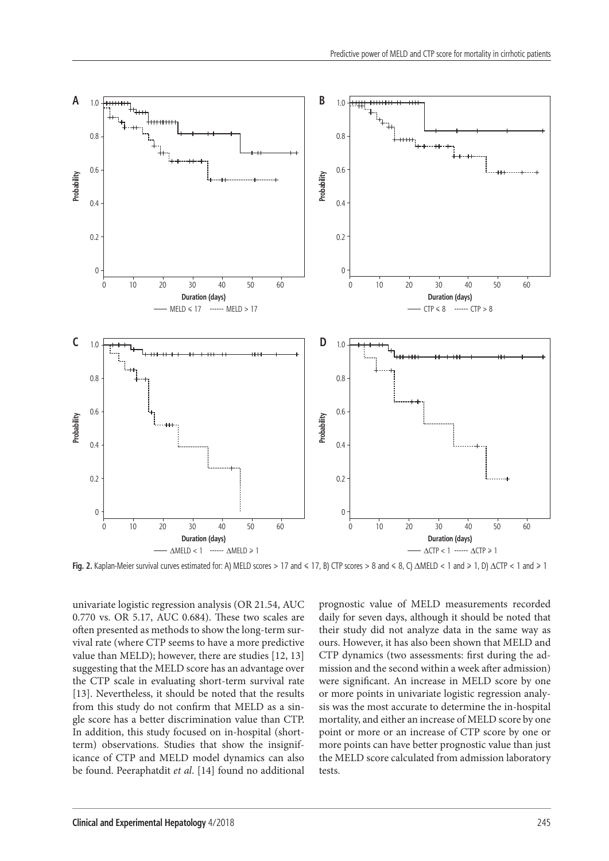

univariate logistic regression analysis (OR 21.54, AUC 0.770 vs. OR 5.17, AUC 0.684). These two scales are often presented as methods to show the long-term survival rate (where CTP seems to have a more predictive value than MELD); however, there are studies [12, 13] suggesting that the MELD score has an advantage over the CTP scale in evaluating short-term survival rate [13]. Nevertheless, it should be noted that the results from this study do not confirm that MELD as a single score has a better discrimination value than CTP. In addition, this study focused on in-hospital (shortterm) observations. Studies that show the insignificance of CTP and MELD model dynamics can also be found. Peeraphatdit *et al*. [14] found no additional prognostic value of MELD measurements recorded daily for seven days, although it should be noted that their study did not analyze data in the same way as ours. However, it has also been shown that MELD and CTP dynamics (two assessments: first during the admission and the second within a week after admission) were significant. An increase in MELD score by one or more points in univariate logistic regression analysis was the most accurate to determine the in-hospital mortality, and either an increase of MELD score by one point or more or an increase of CTP score by one or more points can have better prognostic value than just the MELD score calculated from admission laboratory tests.